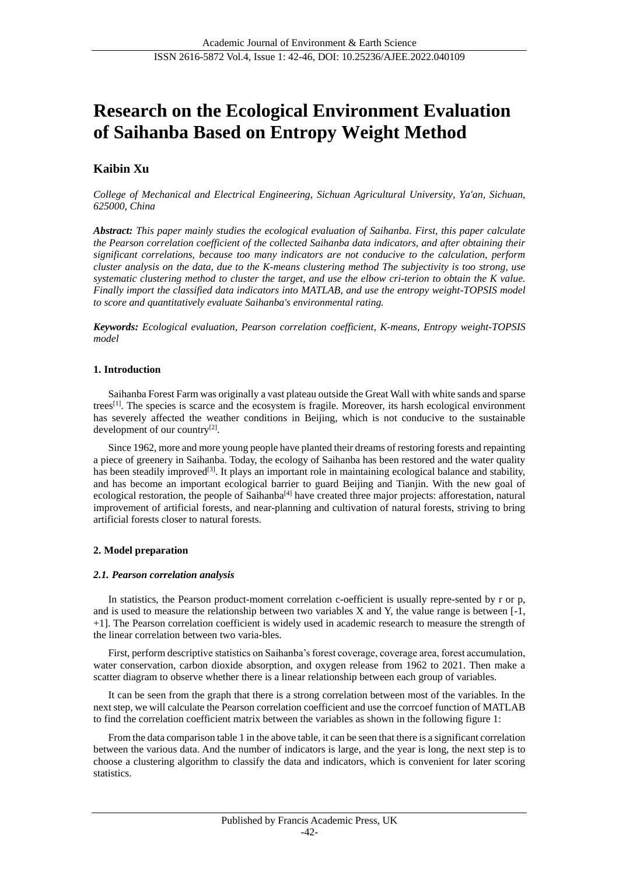# **Research on the Ecological Environment Evaluation of Saihanba Based on Entropy Weight Method**

# **Kaibin Xu**

*College of Mechanical and Electrical Engineering, Sichuan Agricultural University, Ya'an, Sichuan, 625000, China*

*Abstract: This paper mainly studies the ecological evaluation of Saihanba. First, this paper calculate the Pearson correlation coefficient of the collected Saihanba data indicators, and after obtaining their significant correlations, because too many indicators are not conducive to the calculation, perform cluster analysis on the data, due to the K-means clustering method The subjectivity is too strong, use systematic clustering method to cluster the target, and use the elbow cri-terion to obtain the K value. Finally import the classified data indicators into MATLAB, and use the entropy weight-TOPSIS model to score and quantitatively evaluate Saihanba's environmental rating.*

*Keywords: Ecological evaluation, Pearson correlation coefficient, K-means, Entropy weight-TOPSIS model*

## **1. Introduction**

Saihanba Forest Farm was originally a vast plateau outside the Great Wall with white sands and sparse trees[1]. The species is scarce and the ecosystem is fragile. Moreover, its harsh ecological environment has severely affected the weather conditions in Beijing, which is not conducive to the sustainable development of our country<sup>[2]</sup>.

Since 1962, more and more young people have planted their dreams of restoring forests and repainting a piece of greenery in Saihanba. Today, the ecology of Saihanba has been restored and the water quality has been steadily improved<sup>[3]</sup>. It plays an important role in maintaining ecological balance and stability, and has become an important ecological barrier to guard Beijing and Tianjin. With the new goal of ecological restoration, the people of Saihanba $^{[4]}$  have created three major projects: afforestation, natural improvement of artificial forests, and near-planning and cultivation of natural forests, striving to bring artificial forests closer to natural forests.

## **2. Model preparation**

#### *2.1. Pearson correlation analysis*

In statistics, the Pearson product-moment correlation c-oefficient is usually repre-sented by r or p, and is used to measure the relationship between two variables  $X$  and  $Y$ , the value range is between  $[-1, 1]$ . +1]. The Pearson correlation coefficient is widely used in academic research to measure the strength of the linear correlation between two varia-bles.

First, perform descriptive statistics on Saihanba's forest coverage, coverage area, forest accumulation, water conservation, carbon dioxide absorption, and oxygen release from 1962 to 2021. Then make a scatter diagram to observe whether there is a linear relationship between each group of variables.

It can be seen from the graph that there is a strong correlation between most of the variables. In the next step, we will calculate the Pearson correlation coefficient and use the corrcoef function of MATLAB to find the correlation coefficient matrix between the variables as shown in the following figure 1:

From the data comparison table 1 in the above table, it can be seen that there is a significant correlation between the various data. And the number of indicators is large, and the year is long, the next step is to choose a clustering algorithm to classify the data and indicators, which is convenient for later scoring statistics.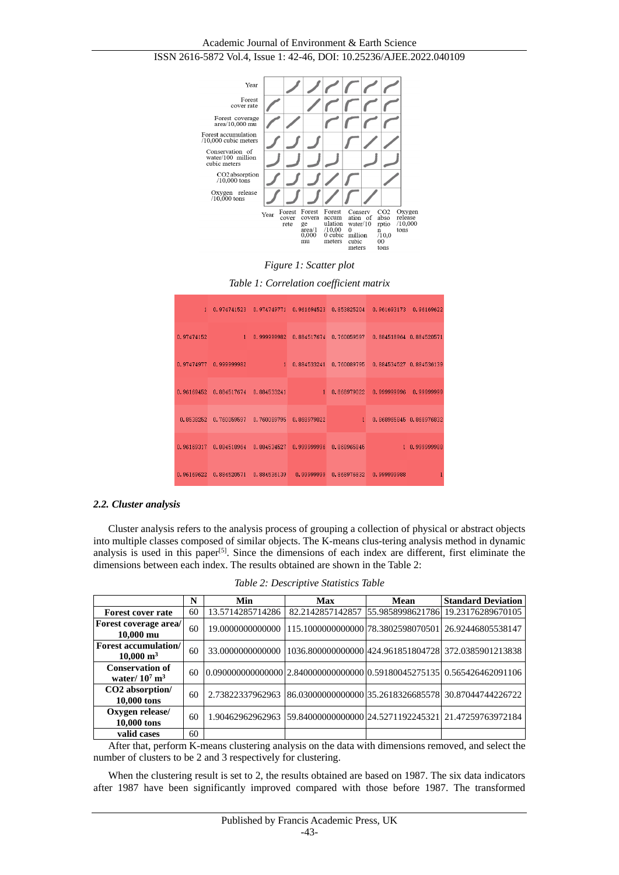

*Figure 1: Scatter plot* 

|  |  | Table 1: Correlation coefficient matrix |  |  |
|--|--|-----------------------------------------|--|--|
|--|--|-----------------------------------------|--|--|

| $1 -$      | 0.974741523                                |   |                         |             | 0.974749771 0.961694523 0.853825204 0.961693173 0.96169622  |               |
|------------|--------------------------------------------|---|-------------------------|-------------|-------------------------------------------------------------|---------------|
| 0.97474152 | $\sim$ 1.0 $\pm$ 1.0                       |   |                         |             | 0.999999982 0.884517674 0.760059597 0.884518964 0.884520571 |               |
|            | 0.97474977 0.999999982                     | 1 |                         |             | 0.884533241 0.760089795 0.884534527 0.884536139             |               |
|            | $0.96169452$ $0.884517674$ $0.884533241$ 1 |   |                         |             | 0.868979022 0.999999996 0.99999999                          |               |
|            | 0.8538252 0.760059597                      |   | 0.760089795 0.868979022 |             | 1 0.868965845 0.868976832                                   |               |
|            | 0.96169317 0.884518964                     |   | 0.884534527 0.999999996 | 0.868965845 |                                                             | 1 0.999999988 |
| 0.96169622 | 0.884520571                                |   | 0.884536139 0.99999999  |             | 0.868976832 0.999999988                                     | 1             |

#### *2.2. Cluster analysis*

Cluster analysis refers to the analysis process of grouping a collection of physical or abstract objects into multiple classes composed of similar objects. The K-means clus-tering analysis method in dynamic analysis is used in this paper<sup>[5]</sup>. Since the dimensions of each index are different, first eliminate the dimensions between each index. The results obtained are shown in the Table 2:

|  | Table 2: Descriptive Statistics Table |  |  |
|--|---------------------------------------|--|--|
|--|---------------------------------------|--|--|

|                                                        | N  | Min              | Max | Mean | <b>Standard Deviation</b>                                                      |
|--------------------------------------------------------|----|------------------|-----|------|--------------------------------------------------------------------------------|
| <b>Forest cover rate</b>                               | 60 | 13.5714285714286 |     |      | 82.2142857142857 55.9858998621786 19.23176289670105                            |
| <b>Forest coverage area/</b><br>$10,000 \,\mathrm{mu}$ | 60 |                  |     |      | 19.0000000000000 1115.1000000000000 78.3802598070501 26.92446805538147         |
| Forest accumulation/<br>$10,000 \; \mathrm{m}^3$       | 60 | 33.0000000000000 |     |      | 1036.8000000000001424.9618518047281372.0385901213838                           |
| <b>Conservation of</b><br>water/ $10^7 \text{ m}^3$    | 60 |                  |     |      | $[0.090000000000000]$ 2.840000000000000 $[0.59180045275135]$ 0.565426462091106 |
| CO2 absorption/<br>10,000 tons                         | 60 |                  |     |      | 2.73822337962963 86.03000000000000 35.2618326685578 30.87044744226722          |
| Oxygen release/<br>10,000 tons                         | 60 |                  |     |      | 1.90462962962963 59.84000000000000 24.5271192245321 21.47259763972184          |
| valid cases                                            | 60 |                  |     |      |                                                                                |

After that, perform K-means clustering analysis on the data with dimensions removed, and select the number of clusters to be 2 and 3 respectively for clustering.

When the clustering result is set to 2, the results obtained are based on 1987. The six data indicators after 1987 have been significantly improved compared with those before 1987. The transformed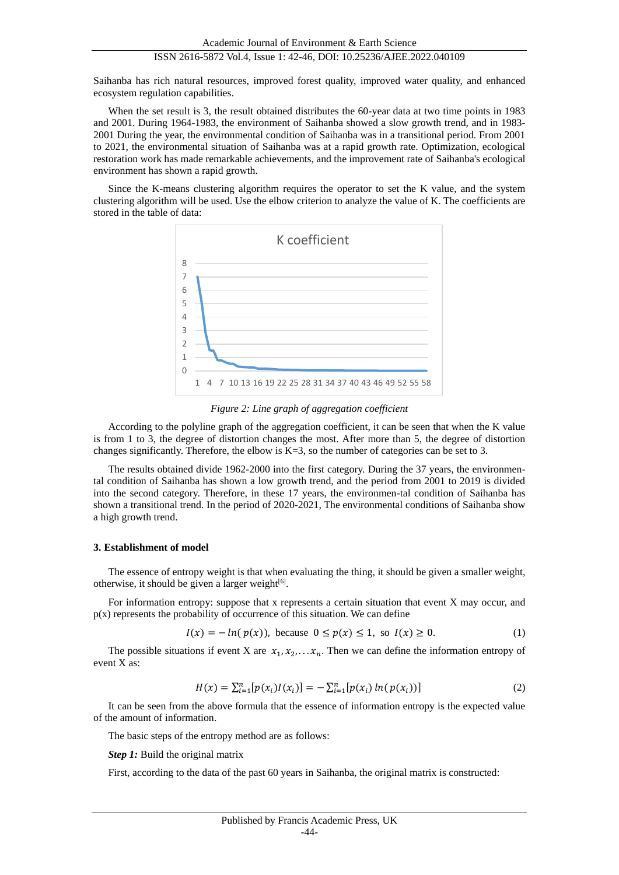# ISSN 2616-5872 Vol.4, Issue 1: 42-46, DOI: 10.25236/AJEE.2022.040109

Saihanba has rich natural resources, improved forest quality, improved water quality, and enhanced ecosystem regulation capabilities.

When the set result is 3, the result obtained distributes the 60-year data at two time points in 1983 and 2001. During 1964-1983, the environment of Saihanba showed a slow growth trend, and in 1983- 2001 During the year, the environmental condition of Saihanba was in a transitional period. From 2001 to 2021, the environmental situation of Saihanba was at a rapid growth rate. Optimization, ecological restoration work has made remarkable achievements, and the improvement rate of Saihanba's ecological environment has shown a rapid growth.

Since the K-means clustering algorithm requires the operator to set the K value, and the system clustering algorithm will be used. Use the elbow criterion to analyze the value of K. The coefficients are stored in the table of data:



*Figure 2: Line graph of aggregation coefficient*

According to the polyline graph of the aggregation coefficient, it can be seen that when the K value is from 1 to 3, the degree of distortion changes the most. After more than 5, the degree of distortion changes significantly. Therefore, the elbow is  $K=3$ , so the number of categories can be set to 3.

The results obtained divide 1962-2000 into the first category. During the 37 years, the environmental condition of Saihanba has shown a low growth trend, and the period from 2001 to 2019 is divided into the second category. Therefore, in these 17 years, the environmen-tal condition of Saihanba has shown a transitional trend. In the period of 2020-2021, The environmental conditions of Saihanba show a high growth trend.

## **3. Establishment of model**

The essence of entropy weight is that when evaluating the thing, it should be given a smaller weight, otherwise, it should be given a larger weight[6].

For information entropy: suppose that x represents a certain situation that event X may occur, and  $p(x)$  represents the probability of occurrence of this situation. We can define

$$
I(x) = -\ln(p(x)), \text{ because } 0 \le p(x) \le 1, \text{ so } I(x) \ge 0. \tag{1}
$$

The possible situations if event X are  $x_1, x_2, \ldots, x_n$ . Then we can define the information entropy of event X as:

$$
H(x) = \sum_{i=1}^{n} [p(x_i)I(x_i)] = -\sum_{i=1}^{n} [p(x_i) \ln(p(x_i))]
$$
\n(2)

It can be seen from the above formula that the essence of information entropy is the expected value of the amount of information.

The basic steps of the entropy method are as follows:

*Step 1:* Build the original matrix

First, according to the data of the past 60 years in Saihanba, the original matrix is constructed: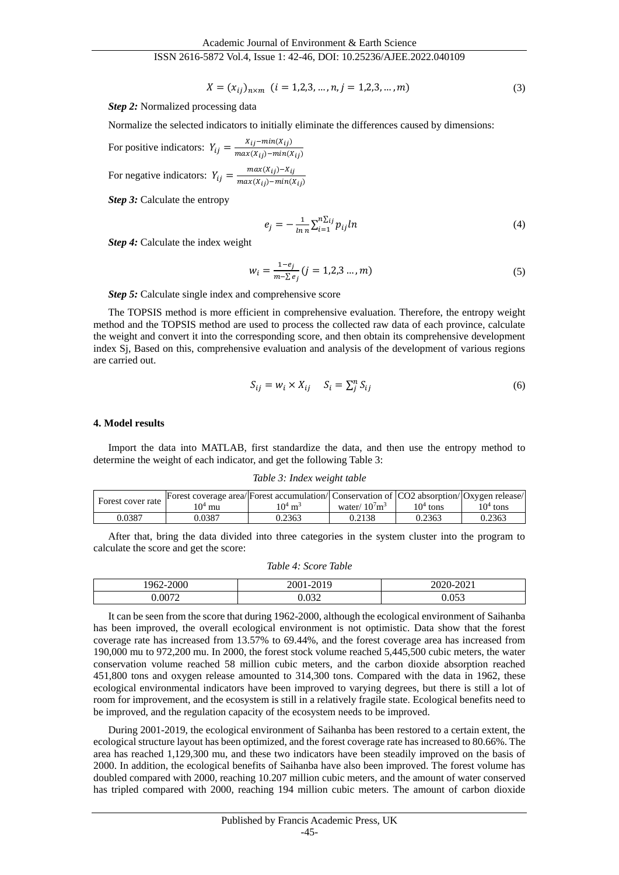#### ISSN 2616-5872 Vol.4, Issue 1: 42-46, DOI: 10.25236/AJEE.2022.040109

 $X = (x_{ij})_{n \times m}$   $(i = 1,2,3,...,n, j = 1,2,3,...,m)$  (3)

*Step 2:* Normalized processing data

Normalize the selected indicators to initially eliminate the differences caused by dimensions:

For positive indicators:  $Y_{ij} = \frac{X_{ij} - min(X_{ij})}{max(X_{ij}) - min(Y_{ij})}$  $max(X_{ij})-min(X_{ij})$ 

For negative indicators:  $Y_{ij} = \frac{max(X_{ij}) - X_{ij}}{max(X_{ij}) - min(Y_{ij})}$  $max(X_{ij})-min(X_{ij})$ 

*Step 3:* Calculate the entropy

$$
e_j = -\frac{1}{\ln n} \sum_{i=1}^{n \sum_{ij} p_{ij}} ln \tag{4}
$$

*Step 4:* Calculate the index weight

$$
w_i = \frac{1 - e_j}{m - \sum e_j} (j = 1, 2, 3 \dots, m)
$$
\n(5)

*Step 5:* Calculate single index and comprehensive score

The TOPSIS method is more efficient in comprehensive evaluation. Therefore, the entropy weight method and the TOPSIS method are used to process the collected raw data of each province, calculate the weight and convert it into the corresponding score, and then obtain its comprehensive development index Sj, Based on this, comprehensive evaluation and analysis of the development of various regions are carried out.

$$
S_{ij} = w_i \times X_{ij} \quad S_i = \sum_j^n S_{ij} \tag{6}
$$

#### **4. Model results**

Import the data into MATLAB, first standardize the data, and then use the entropy method to determine the weight of each indicator, and get the following Table 3:

*Table 3: Index weight table*

| Forest cover rate | Forest coverage area/Forest accumulation/Conservation of CO2 absorption/Oxygen release/ |                    |                              |            |            |
|-------------------|-----------------------------------------------------------------------------------------|--------------------|------------------------------|------------|------------|
|                   | 10 <sup>4</sup> mu                                                                      | $10^4 \text{ m}^3$ | water/ $10^7$ m <sup>3</sup> | $104$ tons | $104$ tons |
| 0.0387            | 0.0387                                                                                  | 0.2363             | 0.2138                       | 0.2363     | 0.2363     |

After that, bring the data divided into three categories in the system cluster into the program to calculate the score and get the score:

#### *Table 4: Score Table*

| $\Delta \Omega$<br>962<br>∙∠∪∪∪ | 0.010<br>- - -<br>'( )(<br>-- | 0.021<br>ZUZU- 1<br>-404 L |
|---------------------------------|-------------------------------|----------------------------|
| 0072                            | $\Omega$                      | $\Omega$ $\Gamma$<br>u.ujj |

It can be seen from the score that during 1962-2000, although the ecological environment of Saihanba has been improved, the overall ecological environment is not optimistic. Data show that the forest coverage rate has increased from 13.57% to 69.44%, and the forest coverage area has increased from 190,000 mu to 972,200 mu. In 2000, the forest stock volume reached 5,445,500 cubic meters, the water conservation volume reached 58 million cubic meters, and the carbon dioxide absorption reached 451,800 tons and oxygen release amounted to 314,300 tons. Compared with the data in 1962, these ecological environmental indicators have been improved to varying degrees, but there is still a lot of room for improvement, and the ecosystem is still in a relatively fragile state. Ecological benefits need to be improved, and the regulation capacity of the ecosystem needs to be improved.

During 2001-2019, the ecological environment of Saihanba has been restored to a certain extent, the ecological structure layout has been optimized, and the forest coverage rate has increased to 80.66%. The area has reached 1,129,300 mu, and these two indicators have been steadily improved on the basis of 2000. In addition, the ecological benefits of Saihanba have also been improved. The forest volume has doubled compared with 2000, reaching 10.207 million cubic meters, and the amount of water conserved has tripled compared with 2000, reaching 194 million cubic meters. The amount of carbon dioxide